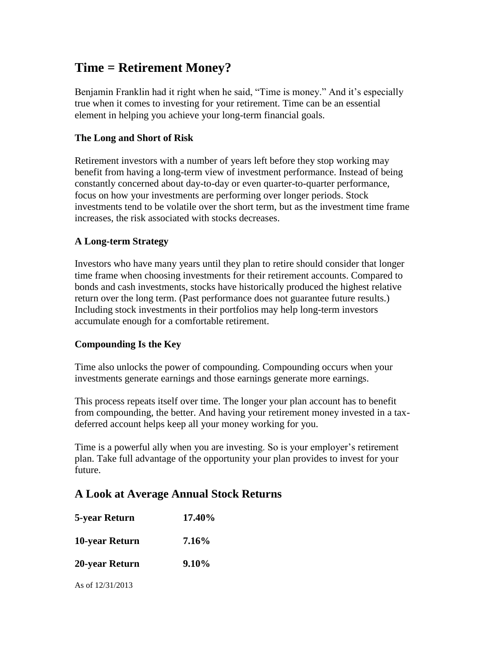# **Time = Retirement Money?**

Benjamin Franklin had it right when he said, "Time is money." And it's especially true when it comes to investing for your retirement. Time can be an essential element in helping you achieve your long-term financial goals.

### **The Long and Short of Risk**

Retirement investors with a number of years left before they stop working may benefit from having a long-term view of investment performance. Instead of being constantly concerned about day-to-day or even quarter-to-quarter performance, focus on how your investments are performing over longer periods. Stock investments tend to be volatile over the short term, but as the investment time frame increases, the risk associated with stocks decreases.

### **A Long-term Strategy**

Investors who have many years until they plan to retire should consider that longer time frame when choosing investments for their retirement accounts. Compared to bonds and cash investments, stocks have historically produced the highest relative return over the long term. (Past performance does not guarantee future results.) Including stock investments in their portfolios may help long-term investors accumulate enough for a comfortable retirement.

#### **Compounding Is the Key**

Time also unlocks the power of compounding. Compounding occurs when your investments generate earnings and those earnings generate more earnings.

This process repeats itself over time. The longer your plan account has to benefit from compounding, the better. And having your retirement money invested in a taxdeferred account helps keep all your money working for you.

Time is a powerful ally when you are investing. So is your employer's retirement plan. Take full advantage of the opportunity your plan provides to invest for your future.

## **A Look at Average Annual Stock Returns**

| 5-year Return      | 17.40% |
|--------------------|--------|
| 10-year Return     | 7.16%  |
| 20-year Return     | 9.10%  |
| As of $12/31/2013$ |        |